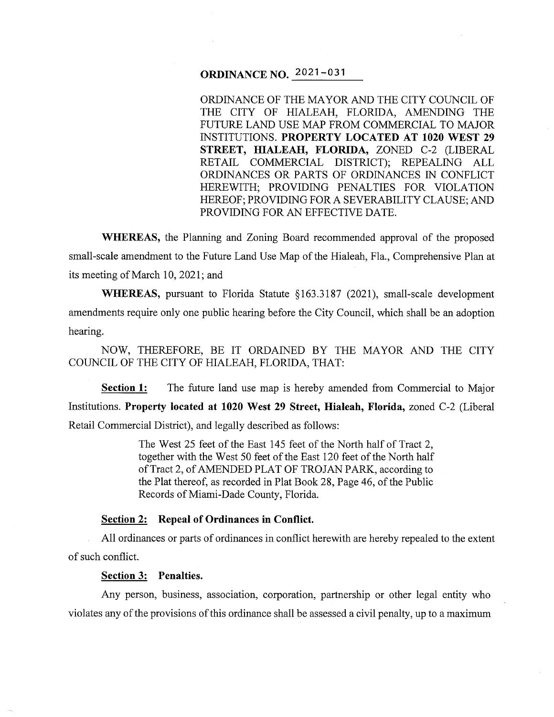# **ORDINANCE NO.** 2021-031

ORDINANCE OF THE MAYOR AND THE CITY COUNCIL OF THE CITY OF HIALEAH, FLORIDA, AMENDING THE FUTURE LAND USE MAP FROM COMMERCIAL TO MAJOR INSTITUTIONS. **PROPERTY LOCATED AT 1020 WEST 29 STREET, HIALEAH, FLORIDA,** ZONED C-2 (LIBERAL RETAIL COMMERCIAL DISTRICT); REPEALING ALL ORDINANCES OR PARTS OF ORDINANCES IN CONFLICT HEREWITH; PROVIDING PENALTIES FOR VIOLATION HEREOF; PROVIDING FOR A SEVERABILITY CLAUSE; AND PROVIDING FOR AN EFFECTIVE DATE.

**WHEREAS,** the Planning and Zoning Board recommended approval of the proposed small-scale amendment to the Future Land Use Map of the Hialeah, Fla., Comprehensive Plan at its meeting of March 10, 2021; and

**WHEREAS,** pursuant to Florida Statute §163.3187 (2021), small-scale development amendments require only one public hearing before the City Council, which shall be an adoption hearing.

NOW, THEREFORE, BE IT ORDAINED BY THE MAYOR AND THE CITY COUNCIL OF THE CITY OF HIALEAH, FLORIDA, THAT:

**Section 1:** The future land use map is hereby amended from Commercial to Major Institutions. **Property located at 1020 West 29 Street, Hialeah, Florida,** zoned C-2 (Liberal Retail Commercial District), and legally described as follows:

> The West 25 feet of the East 145 feet of the North half of Tract 2, together with the West 50 feet of the East 120 feet of the North half of Tract 2, of AMENDED PLAT OF TROJAN PARK, according to the Plat thereof, as recorded in Plat Book 28, Page 46, of the Public Records of Miami-Dade County, Florida.

### **Section 2: Repeal of Ordinances in Conflict.**

All ordinances or parts of ordinances in conflict herewith are hereby repealed to the extent of such conflict.

### **Section 3: Penalties.**

Any person, business, association, corporation, partnership or other legal entity who violates any of the provisions of this ordinance shall be assessed a civil penalty, up to a maximum